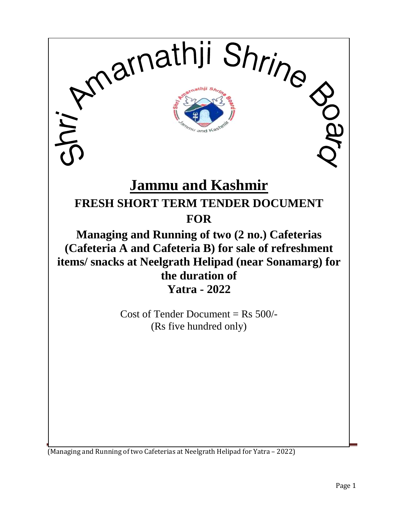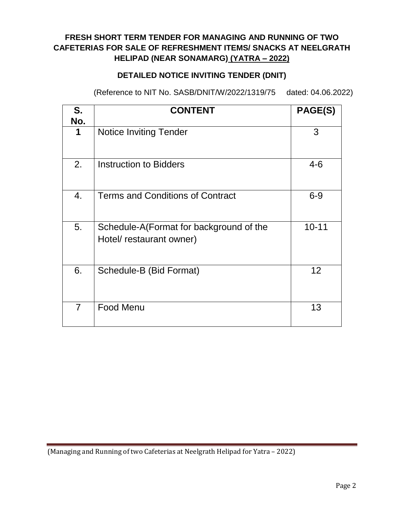# **FRESH SHORT TERM TENDER FOR MANAGING AND RUNNING OF TWO CAFETERIAS FOR SALE OF REFRESHMENT ITEMS/ SNACKS AT NEELGRATH HELIPAD (NEAR SONAMARG) (YATRA – 2022)**

# **DETAILED NOTICE INVITING TENDER (DNIT)**

(Reference to NIT No. SASB/DNIT/W/2022/1319/75 dated: 04.06.2022)

| S.<br>No.      | <b>CONTENT</b>                                                      | PAGE(S)   |
|----------------|---------------------------------------------------------------------|-----------|
| 1              | <b>Notice Inviting Tender</b>                                       | 3         |
| 2.             | Instruction to Bidders                                              | $4 - 6$   |
| 4.             | <b>Terms and Conditions of Contract</b>                             | $6 - 9$   |
| 5.             | Schedule-A(Format for background of the<br>Hotel/ restaurant owner) | $10 - 11$ |
| 6.             | Schedule-B (Bid Format)                                             | 12        |
| $\overline{7}$ | <b>Food Menu</b>                                                    | 13        |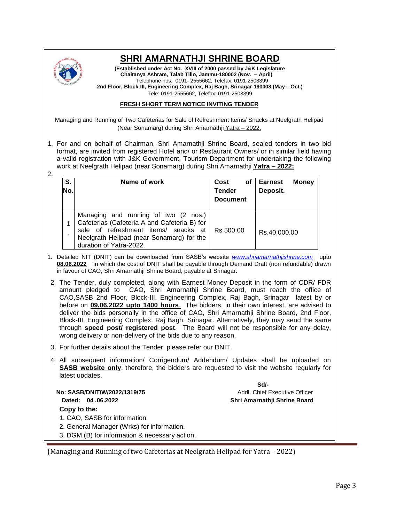

# **SHRI AMARNATHJI SHRINE BOARD**

**(Established under Act No. XVIII of 2000 passed by J&K Legislature Chaitanya Ashram, Talab Tillo, Jammu-180002 (Nov. – April)** Telephone nos. 0191- 2555662; Telefax: 0191-2503399 **2nd Floor, Block-III, Engineering Complex, Raj Bagh, Srinagar-190008 (May – Oct.)** Tele: 0191-2555662, Telefax: 0191-2503399

#### **FRESH SHORT TERM NOTICE INVITING TENDER**

Managing and Running of Two Cafeterias for Sale of Refreshment Items/ Snacks at Neelgrath Helipad (Near Sonamarg) during Shri Amarnathji Yatra – 2022.

1. For and on behalf of Chairman, Shri Amarnathji Shrine Board, sealed tenders in two bid format, are invited from registered Hotel and/ or Restaurant Owners/ or in similar field having a valid registration with J&K Government, Tourism Department for undertaking the following work at Neelgrath Helipad (near Sonamarg) during Shri Amarnathji **Yatra – 2022:** 2.

| S.<br>No. | Name of work                                                                                                                                                                                           | Cost<br>оf<br><b>Tender</b><br><b>Document</b> | <b>Money</b><br>Earnest<br>Deposit. |
|-----------|--------------------------------------------------------------------------------------------------------------------------------------------------------------------------------------------------------|------------------------------------------------|-------------------------------------|
| ٠         | Managing and running of two (2 nos.)<br>Cafeterias (Cafeteria A and Cafeteria B) for<br>sale of refreshment items/ snacks at  <br>Neelgrath Helipad (near Sonamarg) for the<br>duration of Yatra-2022. | Rs 500.00                                      | Rs.40,000.00                        |

- 1. Detailed NIT (DNIT) can be downloaded from SASB's website *[www.shriamarnathjishrine.com](http://www.shriamarnathjishrine.com/)* upto **08.06.2022** in which the cost of DNIT shall be payable through Demand Draft (non refundable) drawn in favour of CAO, Shri Amarnathji Shrine Board, payable at Srinagar.
- 2. The Tender, duly completed, along with Earnest Money Deposit in the form of CDR/ FDR amount pledged to CAO, Shri Amarnathji Shrine Board, must reach the office of CAO,SASB 2nd Floor, Block-III, Engineering Complex, Raj Bagh, Srinagar latest by or before on **09.06.2022 upto 1400 hours**. The bidders, in their own interest, are advised to deliver the bids personally in the office of CAO, Shri Amarnathji Shrine Board, 2nd Floor, Block-III, Engineering Complex, Raj Bagh, Srinagar. Alternatively, they may send the same through **speed post/ registered post**. The Board will not be responsible for any delay, wrong delivery or non-delivery of the bids due to any reason.
- 3. For further details about the Tender, please refer our DNIT.
- 4. All subsequent information/ Corrigendum/ Addendum/ Updates shall be uploaded on **SASB website only**, therefore, the bidders are requested to visit the website regularly for latest updates.

**Copy to the:** 1. CAO, SASB for information. **Sd/-** Samuel Communication of the Communication of the State State State of the State State of the State of the State of the State of the State of the State of the State of the State of the State of the State of the State **No: SASB/DNIT/W/2022/1319/75 Addl. Chief Executive Officer No: SASB/DNIT/W/2022/1319/75 Dated: 04 .06.2022 Shri Amarnathji Shrine Board** 

2. General Manager (Wrks) for information.

3. DGM (B) for information & necessary action.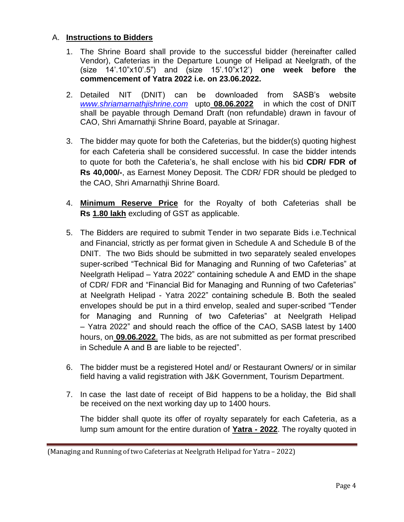### A. **Instructions to Bidders**

- 1. The Shrine Board shall provide to the successful bidder (hereinafter called Vendor), Cafeterias in the Departure Lounge of Helipad at Neelgrath, of the (size 14'.10"x10'.5") and (size 15'.10"x12') **one week before the commencement of Yatra 2022 i.e. on 23.06.2022.**
- 2. Detailed NIT (DNIT) can be downloaded from SASB's website *[www.shriamarnathjishrine.com](http://www.shriamarnathjishrine.com/)* upto **08.06.2022** in which the cost of DNIT shall be payable through Demand Draft (non refundable) drawn in favour of CAO, Shri Amarnathji Shrine Board, payable at Srinagar.
- 3. The bidder may quote for both the Cafeterias, but the bidder(s) quoting highest for each Cafeteria shall be considered successful. In case the bidder intends to quote for both the Cafeteria's, he shall enclose with his bid **CDR/ FDR of Rs 40,000/-**, as Earnest Money Deposit. The CDR/ FDR should be pledged to the CAO, Shri Amarnathji Shrine Board.
- 4. **Minimum Reserve Price** for the Royalty of both Cafeterias shall be **Rs 1.80 lakh** excluding of GST as applicable.
- 5. The Bidders are required to submit Tender in two separate Bids i.e.Technical and Financial, strictly as per format given in Schedule A and Schedule B of the DNIT. The two Bids should be submitted in two separately sealed envelopes super-scribed "Technical Bid for Managing and Running of two Cafeterias" at Neelgrath Helipad – Yatra 2022" containing schedule A and EMD in the shape of CDR/ FDR and "Financial Bid for Managing and Running of two Cafeterias" at Neelgrath Helipad - Yatra 2022" containing schedule B. Both the sealed envelopes should be put in a third envelop, sealed and super-scribed "Tender for Managing and Running of two Cafeterias" at Neelgrath Helipad – Yatra 2022" and should reach the office of the CAO, SASB latest by 1400 hours, on **09.06.2022**. The bids, as are not submitted as per format prescribed in Schedule A and B are liable to be rejected".
- 6. The bidder must be a registered Hotel and/ or Restaurant Owners/ or in similar field having a valid registration with J&K Government, Tourism Department.
- 7. In case the last date of receipt of Bid happens to be a holiday, the Bid shall be received on the next working day up to 1400 hours.

The bidder shall quote its offer of royalty separately for each Cafeteria, as a lump sum amount for the entire duration of **Yatra - 2022**. The royalty quoted in

<sup>(</sup>Managing and Running of two Cafeterias at Neelgrath Helipad for Yatra – 2022)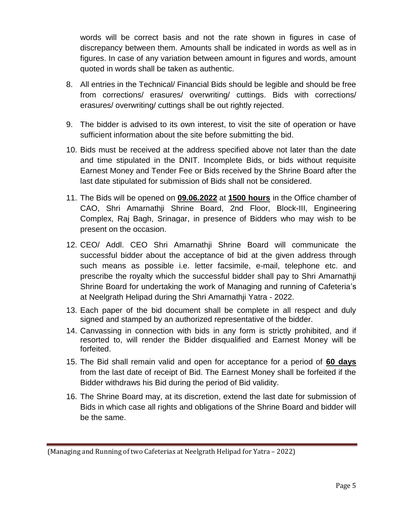words will be correct basis and not the rate shown in figures in case of discrepancy between them. Amounts shall be indicated in words as well as in figures. In case of any variation between amount in figures and words, amount quoted in words shall be taken as authentic.

- 8. All entries in the Technical/ Financial Bids should be legible and should be free from corrections/ erasures/ overwriting/ cuttings. Bids with corrections/ erasures/ overwriting/ cuttings shall be out rightly rejected.
- 9. The bidder is advised to its own interest, to visit the site of operation or have sufficient information about the site before submitting the bid.
- 10. Bids must be received at the address specified above not later than the date and time stipulated in the DNIT. Incomplete Bids, or bids without requisite Earnest Money and Tender Fee or Bids received by the Shrine Board after the last date stipulated for submission of Bids shall not be considered.
- 11. The Bids will be opened on **09.06.2022** at **1500 hours** in the Office chamber of CAO, Shri Amarnathji Shrine Board, 2nd Floor, Block-III, Engineering Complex, Raj Bagh, Srinagar, in presence of Bidders who may wish to be present on the occasion.
- 12. CEO/ Addl. CEO Shri Amarnathji Shrine Board will communicate the successful bidder about the acceptance of bid at the given address through such means as possible i.e. letter facsimile, e-mail, telephone etc. and prescribe the royalty which the successful bidder shall pay to Shri Amarnathji Shrine Board for undertaking the work of Managing and running of Cafeteria's at Neelgrath Helipad during the Shri Amarnathji Yatra - 2022.
- 13. Each paper of the bid document shall be complete in all respect and duly signed and stamped by an authorized representative of the bidder.
- 14. Canvassing in connection with bids in any form is strictly prohibited, and if resorted to, will render the Bidder disqualified and Earnest Money will be forfeited.
- 15. The Bid shall remain valid and open for acceptance for a period of **60 days** from the last date of receipt of Bid. The Earnest Money shall be forfeited if the Bidder withdraws his Bid during the period of Bid validity.
- 16. The Shrine Board may, at its discretion, extend the last date for submission of Bids in which case all rights and obligations of the Shrine Board and bidder will be the same.

<sup>(</sup>Managing and Running of two Cafeterias at Neelgrath Helipad for Yatra – 2022)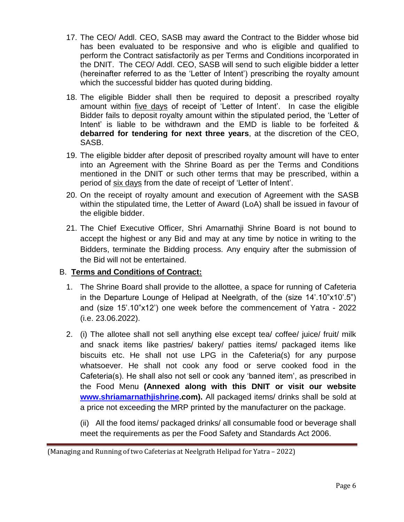- 17. The CEO/ Addl. CEO, SASB may award the Contract to the Bidder whose bid has been evaluated to be responsive and who is eligible and qualified to perform the Contract satisfactorily as per Terms and Conditions incorporated in the DNIT. The CEO/ Addl. CEO, SASB will send to such eligible bidder a letter (hereinafter referred to as the 'Letter of Intent') prescribing the royalty amount which the successful bidder has quoted during bidding.
- 18. The eligible Bidder shall then be required to deposit a prescribed royalty amount within five days of receipt of 'Letter of Intent'. In case the eligible Bidder fails to deposit royalty amount within the stipulated period, the 'Letter of Intent' is liable to be withdrawn and the EMD is liable to be forfeited & **debarred for tendering for next three years**, at the discretion of the CEO, SASB.
- 19. The eligible bidder after deposit of prescribed royalty amount will have to enter into an Agreement with the Shrine Board as per the Terms and Conditions mentioned in the DNIT or such other terms that may be prescribed, within a period of six days from the date of receipt of 'Letter of Intent'.
- 20. On the receipt of royalty amount and execution of Agreement with the SASB within the stipulated time, the Letter of Award (LoA) shall be issued in favour of the eligible bidder.
- 21. The Chief Executive Officer, Shri Amarnathji Shrine Board is not bound to accept the highest or any Bid and may at any time by notice in writing to the Bidders, terminate the Bidding process. Any enquiry after the submission of the Bid will not be entertained.

#### B. **Terms and Conditions of Contract:**

- 1. The Shrine Board shall provide to the allottee, a space for running of Cafeteria in the Departure Lounge of Helipad at Neelgrath, of the (size 14'.10"x10'.5") and (size 15'.10"x12') one week before the commencement of Yatra - 2022 (i.e. 23.06.2022).
- 2. (i) The allotee shall not sell anything else except tea/ coffee/ juice/ fruit/ milk and snack items like pastries/ bakery/ patties items/ packaged items like biscuits etc. He shall not use LPG in the Cafeteria(s) for any purpose whatsoever. He shall not cook any food or serve cooked food in the Cafeteria(s). He shall also not sell or cook any 'banned item', as prescribed in the Food Menu **(Annexed along with this DNIT or visit our website [www.shriamarnathjishrine.](http://www.shriamarnathjishrine/)com).** All packaged items/ drinks shall be sold at a price not exceeding the MRP printed by the manufacturer on the package.

(ii) All the food items/ packaged drinks/ all consumable food or beverage shall meet the requirements as per the Food Safety and Standards Act 2006.

<sup>(</sup>Managing and Running of two Cafeterias at Neelgrath Helipad for Yatra – 2022)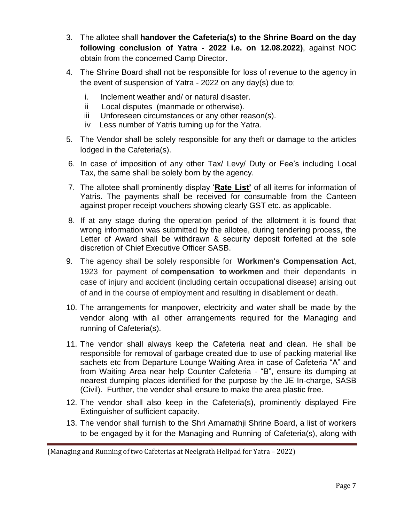- 3. The allotee shall **handover the Cafeteria(s) to the Shrine Board on the day following conclusion of Yatra - 2022 i.e. on 12.08.2022)**, against NOC obtain from the concerned Camp Director.
- 4. The Shrine Board shall not be responsible for loss of revenue to the agency in the event of suspension of Yatra - 2022 on any day(s) due to;
	- i. Inclement weather and/ or natural disaster.
	- ii Local disputes (manmade or otherwise).
	- iii Unforeseen circumstances or any other reason(s).
	- iv Less number of Yatris turning up for the Yatra.
- 5. The Vendor shall be solely responsible for any theft or damage to the articles lodged in the Cafeteria(s).
- 6. In case of imposition of any other Tax/ Levy/ Duty or Fee's including Local Tax, the same shall be solely born by the agency.
- 7. The allotee shall prominently display '**Rate List'** of all items for information of Yatris. The payments shall be received for consumable from the Canteen against proper receipt vouchers showing clearly GST etc. as applicable.
- 8. If at any stage during the operation period of the allotment it is found that wrong information was submitted by the allotee, during tendering process, the Letter of Award shall be withdrawn & security deposit forfeited at the sole discretion of Chief Executive Officer SASB.
- 9. The agency shall be solely responsible for **Workmen's Compensation Act**, 1923 for payment of **compensation to workmen** and their dependants in case of injury and accident (including certain occupational disease) arising out of and in the course of employment and resulting in disablement or death.
- 10. The arrangements for manpower, electricity and water shall be made by the vendor along with all other arrangements required for the Managing and running of Cafeteria(s).
- 11. The vendor shall always keep the Cafeteria neat and clean. He shall be responsible for removal of garbage created due to use of packing material like sachets etc from Departure Lounge Waiting Area in case of Cafeteria "A" and from Waiting Area near help Counter Cafeteria - "B", ensure its dumping at nearest dumping places identified for the purpose by the JE In-charge, SASB (Civil). Further, the vendor shall ensure to make the area plastic free.
- 12. The vendor shall also keep in the Cafeteria(s), prominently displayed Fire Extinguisher of sufficient capacity.
- 13. The vendor shall furnish to the Shri Amarnathji Shrine Board, a list of workers to be engaged by it for the Managing and Running of Cafeteria(s), along with

<sup>(</sup>Managing and Running of two Cafeterias at Neelgrath Helipad for Yatra – 2022)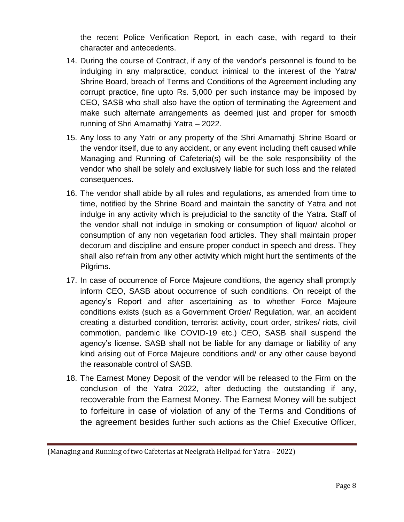the recent Police Verification Report, in each case, with regard to their character and antecedents.

- 14. During the course of Contract, if any of the vendor's personnel is found to be indulging in any malpractice, conduct inimical to the interest of the Yatra/ Shrine Board, breach of Terms and Conditions of the Agreement including any corrupt practice, fine upto Rs. 5,000 per such instance may be imposed by CEO, SASB who shall also have the option of terminating the Agreement and make such alternate arrangements as deemed just and proper for smooth running of Shri Amarnathji Yatra – 2022.
- 15. Any loss to any Yatri or any property of the Shri Amarnathji Shrine Board or the vendor itself, due to any accident, or any event including theft caused while Managing and Running of Cafeteria(s) will be the sole responsibility of the vendor who shall be solely and exclusively liable for such loss and the related consequences.
- 16. The vendor shall abide by all rules and regulations, as amended from time to time, notified by the Shrine Board and maintain the sanctity of Yatra and not indulge in any activity which is prejudicial to the sanctity of the Yatra. Staff of the vendor shall not indulge in smoking or consumption of liquor/ alcohol or consumption of any non vegetarian food articles. They shall maintain proper decorum and discipline and ensure proper conduct in speech and dress. They shall also refrain from any other activity which might hurt the sentiments of the Pilgrims.
- 17. In case of occurrence of Force Majeure conditions, the agency shall promptly inform CEO, SASB about occurrence of such conditions. On receipt of the agency's Report and after ascertaining as to whether Force Majeure conditions exists (such as a Government Order/ Regulation, war, an accident creating a disturbed condition, terrorist activity, court order, strikes/ riots, civil commotion, pandemic like COVID-19 etc.) CEO, SASB shall suspend the agency's license. SASB shall not be liable for any damage or liability of any kind arising out of Force Majeure conditions and/ or any other cause beyond the reasonable control of SASB.
- 18. The Earnest Money Deposit of the vendor will be released to the Firm on the conclusion of the Yatra 2022, after deducting the outstanding if any, recoverable from the Earnest Money. The Earnest Money will be subject to forfeiture in case of violation of any of the Terms and Conditions of the agreement besides further such actions as the Chief Executive Officer,

<sup>(</sup>Managing and Running of two Cafeterias at Neelgrath Helipad for Yatra – 2022)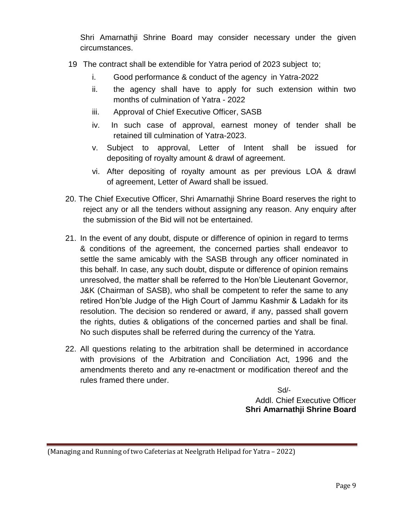Shri Amarnathji Shrine Board may consider necessary under the given circumstances.

- 19 The contract shall be extendible for Yatra period of 2023 subject to;
	- i. Good performance & conduct of the agency in Yatra-2022
	- ii. the agency shall have to apply for such extension within two months of culmination of Yatra - 2022
	- iii. Approval of Chief Executive Officer, SASB
	- iv. In such case of approval, earnest money of tender shall be retained till culmination of Yatra-2023.
	- v. Subject to approval, Letter of Intent shall be issued for depositing of royalty amount & drawl of agreement.
	- vi. After depositing of royalty amount as per previous LOA & drawl of agreement, Letter of Award shall be issued.
- 20. The Chief Executive Officer, Shri Amarnathji Shrine Board reserves the right to reject any or all the tenders without assigning any reason. Any enquiry after the submission of the Bid will not be entertained.
- 21. In the event of any doubt, dispute or difference of opinion in regard to terms & conditions of the agreement, the concerned parties shall endeavor to settle the same amicably with the SASB through any officer nominated in this behalf. In case, any such doubt, dispute or difference of opinion remains unresolved, the matter shall be referred to the Hon'ble Lieutenant Governor, J&K (Chairman of SASB), who shall be competent to refer the same to any retired Hon'ble Judge of the High Court of Jammu Kashmir & Ladakh for its resolution. The decision so rendered or award, if any, passed shall govern the rights, duties & obligations of the concerned parties and shall be final. No such disputes shall be referred during the currency of the Yatra.
- 22. All questions relating to the arbitration shall be determined in accordance with provisions of the Arbitration and Conciliation Act, 1996 and the amendments thereto and any re-enactment or modification thereof and the rules framed there under.

 Sd/- Addl. Chief Executive Officer  **Shri Amarnathji Shrine Board**

<sup>(</sup>Managing and Running of two Cafeterias at Neelgrath Helipad for Yatra – 2022)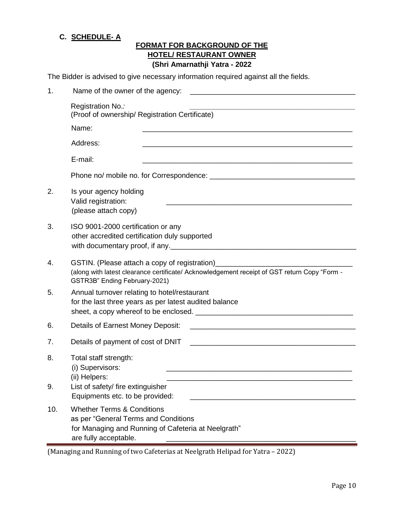#### **C. SCHEDULE- A**

## **FORMAT FOR BACKGROUND OF THE HOTEL/ RESTAURANT OWNER (Shri Amarnathji Yatra - 2022**

The Bidder is advised to give necessary information required against all the fields.

| 1.                                                                                                                           | Name of the owner of the agency:                                                                                                                                                        |  |  |  |
|------------------------------------------------------------------------------------------------------------------------------|-----------------------------------------------------------------------------------------------------------------------------------------------------------------------------------------|--|--|--|
|                                                                                                                              | Registration No.:<br>(Proof of ownership/ Registration Certificate)                                                                                                                     |  |  |  |
| Name:<br><u> 1989 - Johann John Stoff, deutscher Stoffen und der Stoffen und der Stoffen und der Stoffen und der Stoffen</u> |                                                                                                                                                                                         |  |  |  |
|                                                                                                                              | Address:<br><u> 1989 - Johann Stoff, deutscher Stoff, der Stoff, der Stoff, der Stoff, der Stoff, der Stoff, der Stoff, der S</u>                                                       |  |  |  |
|                                                                                                                              | E-mail:<br><u> 1980 - Johann Johann Stoff, deutscher Stoffen und der Stoffen und der Stoffen und der Stoffen und der Stoffen</u>                                                        |  |  |  |
|                                                                                                                              |                                                                                                                                                                                         |  |  |  |
| 2.                                                                                                                           | Is your agency holding<br>Valid registration:<br>(please attach copy)                                                                                                                   |  |  |  |
| 3.                                                                                                                           | ISO 9001-2000 certification or any<br>other accredited certification duly supported                                                                                                     |  |  |  |
| 4.                                                                                                                           | GSTIN. (Please attach a copy of registration)_________<br>(along with latest clearance certificate/ Acknowledgement receipt of GST return Copy "Form -<br>GSTR3B" Ending February-2021) |  |  |  |
| 5.                                                                                                                           | Annual turnover relating to hotel/restaurant<br>for the last three years as per latest audited balance                                                                                  |  |  |  |
| 6.                                                                                                                           | Details of Earnest Money Deposit:                                                                                                                                                       |  |  |  |
| 7.                                                                                                                           | Details of payment of cost of DNIT<br><u> 1980 - Jan James James Barnett, fransk politik (d. 1980)</u>                                                                                  |  |  |  |
| 8.<br>9.                                                                                                                     | Total staff strength:<br>(i) Supervisors:<br>(ii) Helpers:<br>List of safety/ fire extinguisher                                                                                         |  |  |  |
| 10.                                                                                                                          | Equipments etc. to be provided:<br><b>Whether Terms &amp; Conditions</b>                                                                                                                |  |  |  |
|                                                                                                                              | as per "General Terms and Conditions<br>for Managing and Running of Cafeteria at Neelgrath"<br>are fully acceptable.                                                                    |  |  |  |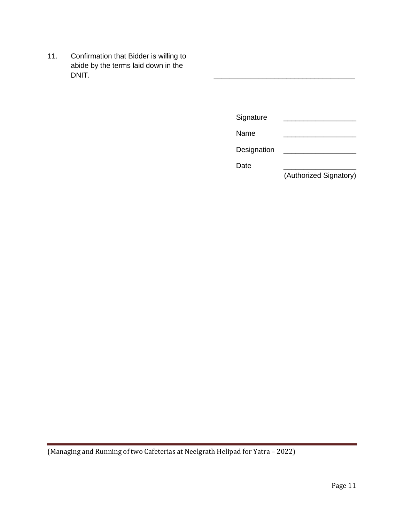11. Confirmation that Bidder is willing to abide by the terms laid down in the DNIT. DNIT. \_\_\_\_\_\_\_\_\_\_\_\_\_\_\_\_\_\_\_\_\_\_\_\_\_\_\_\_\_\_\_\_\_\_\_

| (Authorized Signatory) |
|------------------------|
|                        |